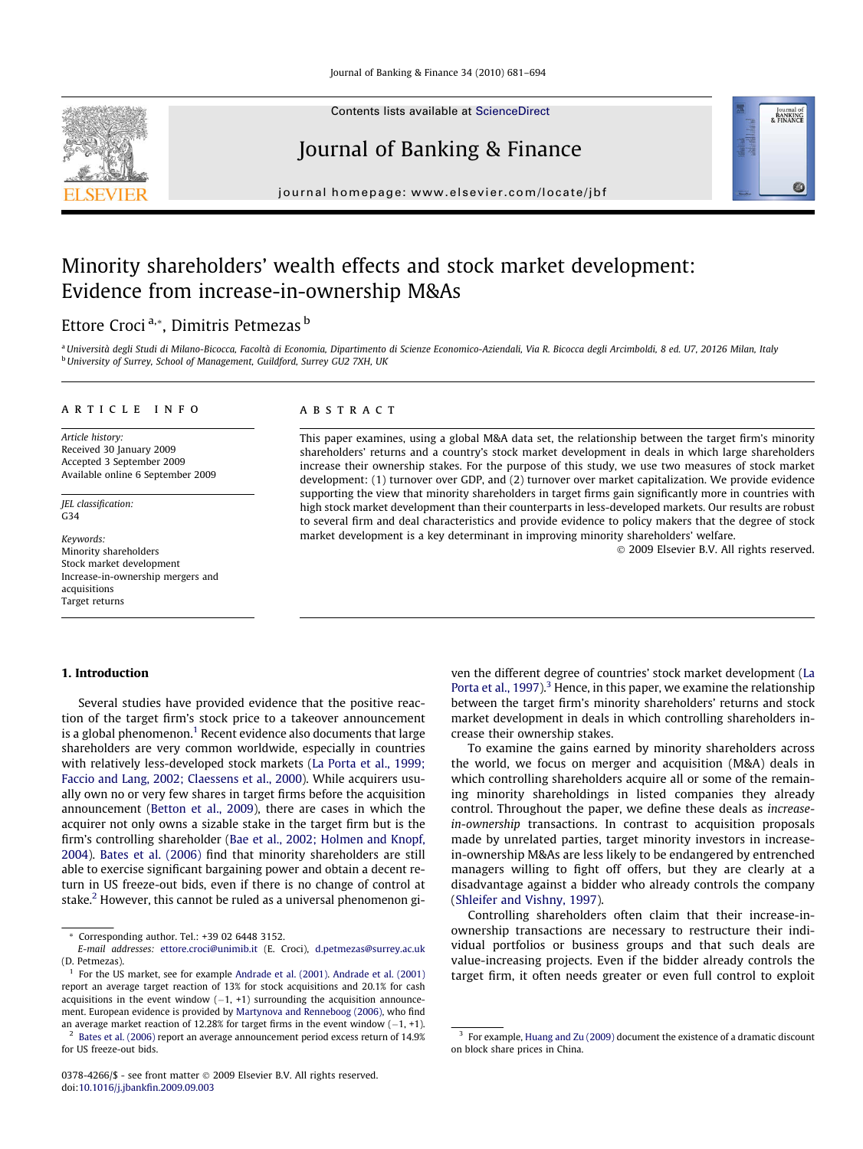

Contents lists available at [ScienceDirect](http://www.sciencedirect.com/science/journal/03784266)

# Journal of Banking & Finance

journal homepage: [www.elsevier.com/locate/jbf](http://www.elsevier.com/locate/jbf)

## Minority shareholders' wealth effects and stock market development: Evidence from increase-in-ownership M&As

### Ettore Croci<sup>a,\*</sup>, Dimitris Petmezas<sup>b</sup>

a Università degli Studi di Milano-Bicocca, Facoltà di Economia, Dipartimento di Scienze Economico-Aziendali, Via R. Bicocca degli Arcimboldi, 8 ed. U7, 20126 Milan, Italy b University of Surrey, School of Management, Guildford, Surrey GU2 7XH, UK

#### article info

Article history: Received 30 January 2009 Accepted 3 September 2009 Available online 6 September 2009

JEL classification: G34

Keywords: Minority shareholders Stock market development Increase-in-ownership mergers and acquisitions Target returns

#### ABSTRACT

This paper examines, using a global M&A data set, the relationship between the target firm's minority shareholders' returns and a country's stock market development in deals in which large shareholders increase their ownership stakes. For the purpose of this study, we use two measures of stock market development: (1) turnover over GDP, and (2) turnover over market capitalization. We provide evidence supporting the view that minority shareholders in target firms gain significantly more in countries with high stock market development than their counterparts in less-developed markets. Our results are robust to several firm and deal characteristics and provide evidence to policy makers that the degree of stock market development is a key determinant in improving minority shareholders' welfare.

© 2009 Elsevier B.V. All rights reserved.

Journal of<br>BANKING<br>& FINANCE

#### 1. Introduction

Several studies have provided evidence that the positive reaction of the target firm's stock price to a takeover announcement is a global phenomenon.<sup>1</sup> Recent evidence also documents that large shareholders are very common worldwide, especially in countries with relatively less-developed stock markets ([La Porta et al., 1999;](#page--1-0) [Faccio and Lang, 2002; Claessens et al., 2000](#page--1-0)). While acquirers usually own no or very few shares in target firms before the acquisition announcement [\(Betton et al., 2009](#page--1-0)), there are cases in which the acquirer not only owns a sizable stake in the target firm but is the firm's controlling shareholder ([Bae et al., 2002; Holmen and Knopf,](#page--1-0) [2004\)](#page--1-0). [Bates et al. \(2006\)](#page--1-0) find that minority shareholders are still able to exercise significant bargaining power and obtain a decent return in US freeze-out bids, even if there is no change of control at stake.<sup>2</sup> However, this cannot be ruled as a universal phenomenon gi-

<sup>2</sup> [Bates et al. \(2006\)](#page--1-0) report an average announcement period excess return of 14.9% for US freeze-out bids.

0378-4266/\$ - see front matter © 2009 Elsevier B.V. All rights reserved. doi[:10.1016/j.jbankfin.2009.09.003](http://dx.doi.org/10.1016/j.jbankfin.2009.09.003)

ven the different degree of countries' stock market development [\(La](#page--1-0) [Porta et al., 1997](#page--1-0)). $3$  Hence, in this paper, we examine the relationship between the target firm's minority shareholders' returns and stock market development in deals in which controlling shareholders increase their ownership stakes.

To examine the gains earned by minority shareholders across the world, we focus on merger and acquisition (M&A) deals in which controlling shareholders acquire all or some of the remaining minority shareholdings in listed companies they already control. Throughout the paper, we define these deals as increasein-ownership transactions. In contrast to acquisition proposals made by unrelated parties, target minority investors in increasein-ownership M&As are less likely to be endangered by entrenched managers willing to fight off offers, but they are clearly at a disadvantage against a bidder who already controls the company ([Shleifer and Vishny, 1997](#page--1-0)).

Controlling shareholders often claim that their increase-inownership transactions are necessary to restructure their individual portfolios or business groups and that such deals are value-increasing projects. Even if the bidder already controls the target firm, it often needs greater or even full control to exploit

<sup>\*</sup> Corresponding author. Tel.: +39 02 6448 3152.

E-mail addresses: [ettore.croci@unimib.it](mailto:ettore.croci@unimib.it) (E. Croci), [d.petmezas@surrey.ac.uk](mailto:d.petmezas@surrey.ac.uk ) (D. Petmezas).

 $<sup>1</sup>$  For the US market, see for example [Andrade et al. \(2001\)](#page--1-0). Andrade et al. (2001).</sup> report an average target reaction of 13% for stock acquisitions and 20.1% for cash acquisitions in the event window  $(-1, +1)$  surrounding the acquisition announcement. European evidence is provided by [Martynova and Renneboog \(2006\),](#page--1-0) who find an average market reaction of 12.28% for target firms in the event window  $(-1, +1)$ .

 $3$  For example, [Huang and Zu \(2009\)](#page--1-0) document the existence of a dramatic discount on block share prices in China.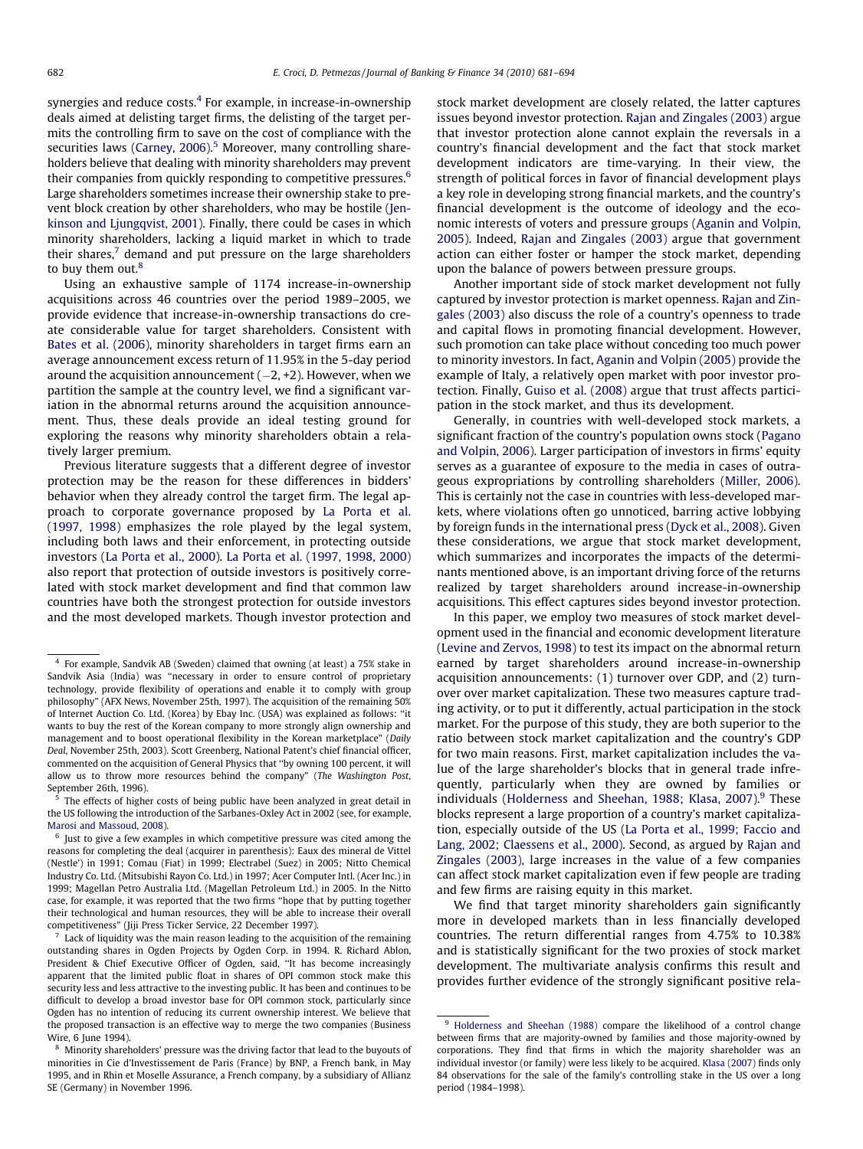synergies and reduce costs. $4$  For example, in increase-in-ownership deals aimed at delisting target firms, the delisting of the target permits the controlling firm to save on the cost of compliance with the securities laws ([Carney, 2006](#page--1-0)).<sup>5</sup> Moreover, many controlling shareholders believe that dealing with minority shareholders may prevent their companies from quickly responding to competitive pressures.6 Large shareholders sometimes increase their ownership stake to prevent block creation by other shareholders, who may be hostile [\(Jen](#page--1-0)[kinson and Ljungqvist, 2001\)](#page--1-0). Finally, there could be cases in which minority shareholders, lacking a liquid market in which to trade their shares, $7$  demand and put pressure on the large shareholders to buy them out.<sup>8</sup>

Using an exhaustive sample of 1174 increase-in-ownership acquisitions across 46 countries over the period 1989–2005, we provide evidence that increase-in-ownership transactions do create considerable value for target shareholders. Consistent with [Bates et al. \(2006\)](#page--1-0), minority shareholders in target firms earn an average announcement excess return of 11.95% in the 5-day period around the acquisition announcement (–2, +2). However, when we partition the sample at the country level, we find a significant variation in the abnormal returns around the acquisition announcement. Thus, these deals provide an ideal testing ground for exploring the reasons why minority shareholders obtain a relatively larger premium.

Previous literature suggests that a different degree of investor protection may be the reason for these differences in bidders' behavior when they already control the target firm. The legal approach to corporate governance proposed by [La Porta et al.](#page--1-0) [\(1997, 1998\)](#page--1-0) emphasizes the role played by the legal system, including both laws and their enforcement, in protecting outside investors ([La Porta et al., 2000\)](#page--1-0). [La Porta et al. \(1997, 1998, 2000\)](#page--1-0) also report that protection of outside investors is positively correlated with stock market development and find that common law countries have both the strongest protection for outside investors and the most developed markets. Though investor protection and stock market development are closely related, the latter captures issues beyond investor protection. [Rajan and Zingales \(2003\)](#page--1-0) argue that investor protection alone cannot explain the reversals in a country's financial development and the fact that stock market development indicators are time-varying. In their view, the strength of political forces in favor of financial development plays a key role in developing strong financial markets, and the country's financial development is the outcome of ideology and the economic interests of voters and pressure groups ([Aganin and Volpin,](#page--1-0) [2005\)](#page--1-0). Indeed, [Rajan and Zingales \(2003\)](#page--1-0) argue that government action can either foster or hamper the stock market, depending upon the balance of powers between pressure groups.

Another important side of stock market development not fully captured by investor protection is market openness. [Rajan and Zin](#page--1-0)[gales \(2003\)](#page--1-0) also discuss the role of a country's openness to trade and capital flows in promoting financial development. However, such promotion can take place without conceding too much power to minority investors. In fact, [Aganin and Volpin \(2005\)](#page--1-0) provide the example of Italy, a relatively open market with poor investor protection. Finally, [Guiso et al. \(2008\)](#page--1-0) argue that trust affects participation in the stock market, and thus its development.

Generally, in countries with well-developed stock markets, a significant fraction of the country's population owns stock ([Pagano](#page--1-0) [and Volpin, 2006\)](#page--1-0). Larger participation of investors in firms' equity serves as a guarantee of exposure to the media in cases of outrageous expropriations by controlling shareholders [\(Miller, 2006\)](#page--1-0). This is certainly not the case in countries with less-developed markets, where violations often go unnoticed, barring active lobbying by foreign funds in the international press [\(Dyck et al., 2008](#page--1-0)). Given these considerations, we argue that stock market development, which summarizes and incorporates the impacts of the determinants mentioned above, is an important driving force of the returns realized by target shareholders around increase-in-ownership acquisitions. This effect captures sides beyond investor protection.

In this paper, we employ two measures of stock market development used in the financial and economic development literature ([Levine and Zervos, 1998\)](#page--1-0) to test its impact on the abnormal return earned by target shareholders around increase-in-ownership acquisition announcements: (1) turnover over GDP, and (2) turnover over market capitalization. These two measures capture trading activity, or to put it differently, actual participation in the stock market. For the purpose of this study, they are both superior to the ratio between stock market capitalization and the country's GDP for two main reasons. First, market capitalization includes the value of the large shareholder's blocks that in general trade infrequently, particularly when they are owned by families or individuals ([Holderness and Sheehan, 1988; Klasa, 2007\)](#page--1-0).<sup>9</sup> These blocks represent a large proportion of a country's market capitalization, especially outside of the US ([La Porta et al., 1999; Faccio and](#page--1-0) [Lang, 2002; Claessens et al., 2000\)](#page--1-0). Second, as argued by [Rajan and](#page--1-0) [Zingales \(2003\)](#page--1-0), large increases in the value of a few companies can affect stock market capitalization even if few people are trading and few firms are raising equity in this market.

We find that target minority shareholders gain significantly more in developed markets than in less financially developed countries. The return differential ranges from 4.75% to 10.38% and is statistically significant for the two proxies of stock market development. The multivariate analysis confirms this result and provides further evidence of the strongly significant positive rela-

<sup>4</sup> For example, Sandvik AB (Sweden) claimed that owning (at least) a 75% stake in Sandvik Asia (India) was ''necessary in order to ensure control of proprietary technology, provide flexibility of operations and enable it to comply with group philosophy" (AFX News, November 25th, 1997). The acquisition of the remaining 50% of Internet Auction Co. Ltd. (Korea) by Ebay Inc. (USA) was explained as follows: ''it wants to buy the rest of the Korean company to more strongly align ownership and management and to boost operational flexibility in the Korean marketplace" (Daily Deal, November 25th, 2003). Scott Greenberg, National Patent's chief financial officer, commented on the acquisition of General Physics that ''by owning 100 percent, it will allow us to throw more resources behind the company" (The Washington Post, September 26th, 1996).

<sup>5</sup> The effects of higher costs of being public have been analyzed in great detail in the US following the introduction of the Sarbanes-Oxley Act in 2002 (see, for example, [Marosi and Massoud, 2008\)](#page--1-0).

 $6$  Just to give a few examples in which competitive pressure was cited among the reasons for completing the deal (acquirer in parenthesis): Eaux des mineral de Vittel (Nestle') in 1991; Comau (Fiat) in 1999; Electrabel (Suez) in 2005; Nitto Chemical Industry Co. Ltd. (Mitsubishi Rayon Co. Ltd.) in 1997; Acer Computer Intl. (Acer Inc.) in 1999; Magellan Petro Australia Ltd. (Magellan Petroleum Ltd.) in 2005. In the Nitto case, for example, it was reported that the two firms ''hope that by putting together their technological and human resources, they will be able to increase their overall competitiveness" (Jiji Press Ticker Service, 22 December 1997).

 $7$  Lack of liquidity was the main reason leading to the acquisition of the remaining outstanding shares in Ogden Projects by Ogden Corp. in 1994. R. Richard Ablon, President & Chief Executive Officer of Ogden, said, ''It has become increasingly apparent that the limited public float in shares of OPI common stock make this security less and less attractive to the investing public. It has been and continues to be difficult to develop a broad investor base for OPI common stock, particularly since Ogden has no intention of reducing its current ownership interest. We believe that the proposed transaction is an effective way to merge the two companies (Business Wire, 6 June 1994).

<sup>8</sup> Minority shareholders' pressure was the driving factor that lead to the buyouts of minorities in Cie d'Investissement de Paris (France) by BNP, a French bank, in May 1995, and in Rhin et Moselle Assurance, a French company, by a subsidiary of Allianz SE (Germany) in November 1996.

<sup>&</sup>lt;sup>9</sup> [Holderness and Sheehan \(1988\)](#page--1-0) compare the likelihood of a control change between firms that are majority-owned by families and those majority-owned by corporations. They find that firms in which the majority shareholder was an individual investor (or family) were less likely to be acquired. [Klasa \(2007\)](#page--1-0) finds only 84 observations for the sale of the family's controlling stake in the US over a long period (1984–1998).